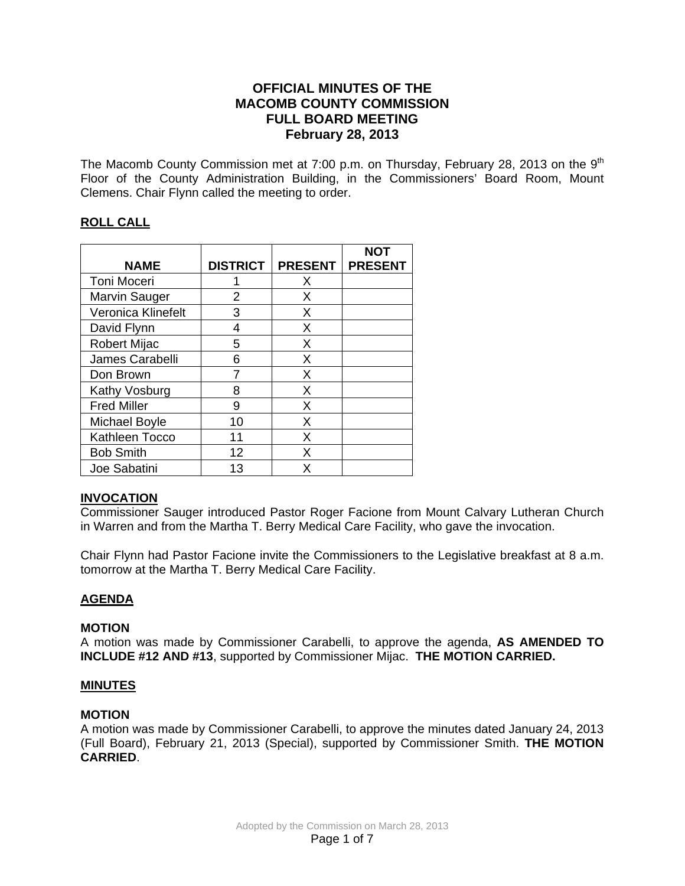## **OFFICIAL MINUTES OF THE MACOMB COUNTY COMMISSION FULL BOARD MEETING February 28, 2013**

The Macomb County Commission met at 7:00 p.m. on Thursday, February 28, 2013 on the  $9<sup>th</sup>$ Floor of the County Administration Building, in the Commissioners' Board Room, Mount Clemens. Chair Flynn called the meeting to order.

## **ROLL CALL**

|                      |                 |                | NOT            |
|----------------------|-----------------|----------------|----------------|
| <b>NAME</b>          | <b>DISTRICT</b> | <b>PRESENT</b> | <b>PRESENT</b> |
| <b>Toni Moceri</b>   |                 | X              |                |
| <b>Marvin Sauger</b> | 2               | Х              |                |
| Veronica Klinefelt   | 3               | х              |                |
| David Flynn          | 4               | X              |                |
| <b>Robert Mijac</b>  | 5               | Χ              |                |
| James Carabelli      | 6               | X              |                |
| Don Brown            |                 | Χ              |                |
| Kathy Vosburg        | 8               | X              |                |
| <b>Fred Miller</b>   | 9               | X              |                |
| Michael Boyle        | 10              | X              |                |
| Kathleen Tocco       | 11              | X              |                |
| <b>Bob Smith</b>     | 12              | X              |                |
| Joe Sabatini         | 13              | x              |                |

## **INVOCATION**

Commissioner Sauger introduced Pastor Roger Facione from Mount Calvary Lutheran Church in Warren and from the Martha T. Berry Medical Care Facility, who gave the invocation.

Chair Flynn had Pastor Facione invite the Commissioners to the Legislative breakfast at 8 a.m. tomorrow at the Martha T. Berry Medical Care Facility.

## **AGENDA**

## **MOTION**

A motion was made by Commissioner Carabelli, to approve the agenda, **AS AMENDED TO INCLUDE #12 AND #13**, supported by Commissioner Mijac. **THE MOTION CARRIED.** 

## **MINUTES**

### **MOTION**

A motion was made by Commissioner Carabelli, to approve the minutes dated January 24, 2013 (Full Board), February 21, 2013 (Special), supported by Commissioner Smith. **THE MOTION CARRIED**.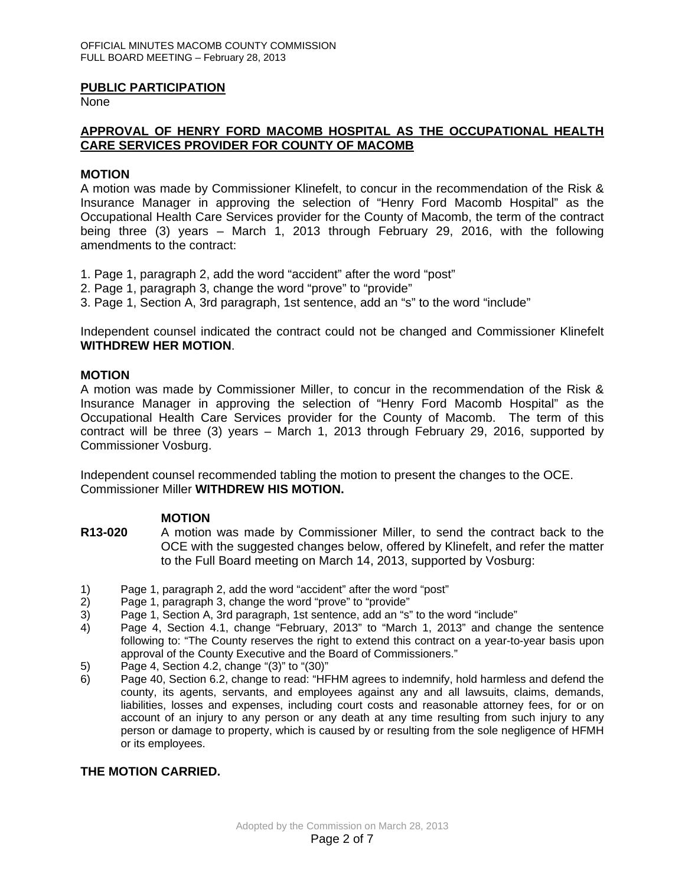#### **PUBLIC PARTICIPATION**

None

## **APPROVAL OF HENRY FORD MACOMB HOSPITAL AS THE OCCUPATIONAL HEALTH CARE SERVICES PROVIDER FOR COUNTY OF MACOMB**

#### **MOTION**

A motion was made by Commissioner Klinefelt, to concur in the recommendation of the Risk & Insurance Manager in approving the selection of "Henry Ford Macomb Hospital" as the Occupational Health Care Services provider for the County of Macomb, the term of the contract being three (3) years – March 1, 2013 through February 29, 2016, with the following amendments to the contract:

- 1. Page 1, paragraph 2, add the word "accident" after the word "post"
- 2. Page 1, paragraph 3, change the word "prove" to "provide"
- 3. Page 1, Section A, 3rd paragraph, 1st sentence, add an "s" to the word "include"

Independent counsel indicated the contract could not be changed and Commissioner Klinefelt **WITHDREW HER MOTION**.

#### **MOTION**

A motion was made by Commissioner Miller, to concur in the recommendation of the Risk & Insurance Manager in approving the selection of "Henry Ford Macomb Hospital" as the Occupational Health Care Services provider for the County of Macomb. The term of this contract will be three (3) years – March 1, 2013 through February 29, 2016, supported by Commissioner Vosburg.

Independent counsel recommended tabling the motion to present the changes to the OCE. Commissioner Miller **WITHDREW HIS MOTION.**

#### **MOTION**

- **R13-020** A motion was made by Commissioner Miller, to send the contract back to the OCE with the suggested changes below, offered by Klinefelt, and refer the matter to the Full Board meeting on March 14, 2013, supported by Vosburg:
- 1) Page 1, paragraph 2, add the word "accident" after the word "post"
- 2) Page 1, paragraph 3, change the word "prove" to "provide"
- 3) Page 1, Section A, 3rd paragraph, 1st sentence, add an "s" to the word "include"<br>4) Page 4, Section 4.1, change "February, 2013" to "March 1, 2013" and chan
- Page 4, Section 4.1, change "February, 2013" to "March 1, 2013" and change the sentence following to: "The County reserves the right to extend this contract on a year-to-year basis upon approval of the County Executive and the Board of Commissioners."
- 5) Page 4, Section 4.2, change "(3)" to "(30)"
- 6) Page 40, Section 6.2, change to read: "HFHM agrees to indemnify, hold harmless and defend the county, its agents, servants, and employees against any and all lawsuits, claims, demands, liabilities, losses and expenses, including court costs and reasonable attorney fees, for or on account of an injury to any person or any death at any time resulting from such injury to any person or damage to property, which is caused by or resulting from the sole negligence of HFMH or its employees.

## **THE MOTION CARRIED.**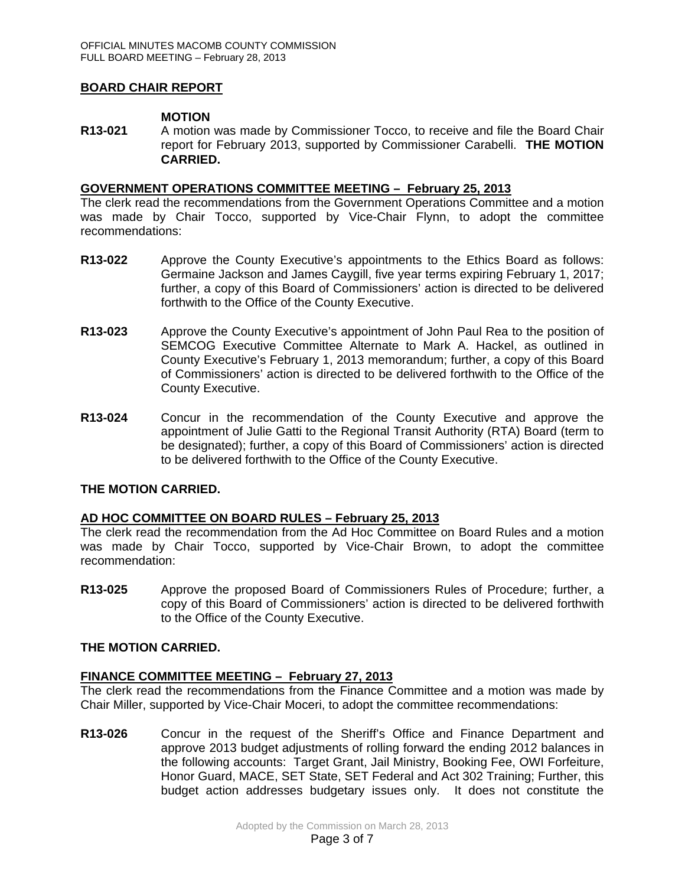### **BOARD CHAIR REPORT**

#### **MOTION**

**R13-021** A motion was made by Commissioner Tocco, to receive and file the Board Chair report for February 2013, supported by Commissioner Carabelli. **THE MOTION CARRIED.** 

### **GOVERNMENT OPERATIONS COMMITTEE MEETING – February 25, 2013**

The clerk read the recommendations from the Government Operations Committee and a motion was made by Chair Tocco, supported by Vice-Chair Flynn, to adopt the committee recommendations:

- **R13-022** Approve the County Executive's appointments to the Ethics Board as follows: Germaine Jackson and James Caygill, five year terms expiring February 1, 2017; further, a copy of this Board of Commissioners' action is directed to be delivered forthwith to the Office of the County Executive.
- **R13-023** Approve the County Executive's appointment of John Paul Rea to the position of SEMCOG Executive Committee Alternate to Mark A. Hackel, as outlined in County Executive's February 1, 2013 memorandum; further, a copy of this Board of Commissioners' action is directed to be delivered forthwith to the Office of the County Executive.
- **R13-024** Concur in the recommendation of the County Executive and approve the appointment of Julie Gatti to the Regional Transit Authority (RTA) Board (term to be designated); further, a copy of this Board of Commissioners' action is directed to be delivered forthwith to the Office of the County Executive.

## **THE MOTION CARRIED.**

## **AD HOC COMMITTEE ON BOARD RULES – February 25, 2013**

The clerk read the recommendation from the Ad Hoc Committee on Board Rules and a motion was made by Chair Tocco, supported by Vice-Chair Brown, to adopt the committee recommendation:

**R13-025** Approve the proposed Board of Commissioners Rules of Procedure; further, a copy of this Board of Commissioners' action is directed to be delivered forthwith to the Office of the County Executive.

#### **THE MOTION CARRIED.**

#### **FINANCE COMMITTEE MEETING – February 27, 2013**

The clerk read the recommendations from the Finance Committee and a motion was made by Chair Miller, supported by Vice-Chair Moceri, to adopt the committee recommendations:

**R13-026** Concur in the request of the Sheriff's Office and Finance Department and approve 2013 budget adjustments of rolling forward the ending 2012 balances in the following accounts: Target Grant, Jail Ministry, Booking Fee, OWI Forfeiture, Honor Guard, MACE, SET State, SET Federal and Act 302 Training; Further, this budget action addresses budgetary issues only. It does not constitute the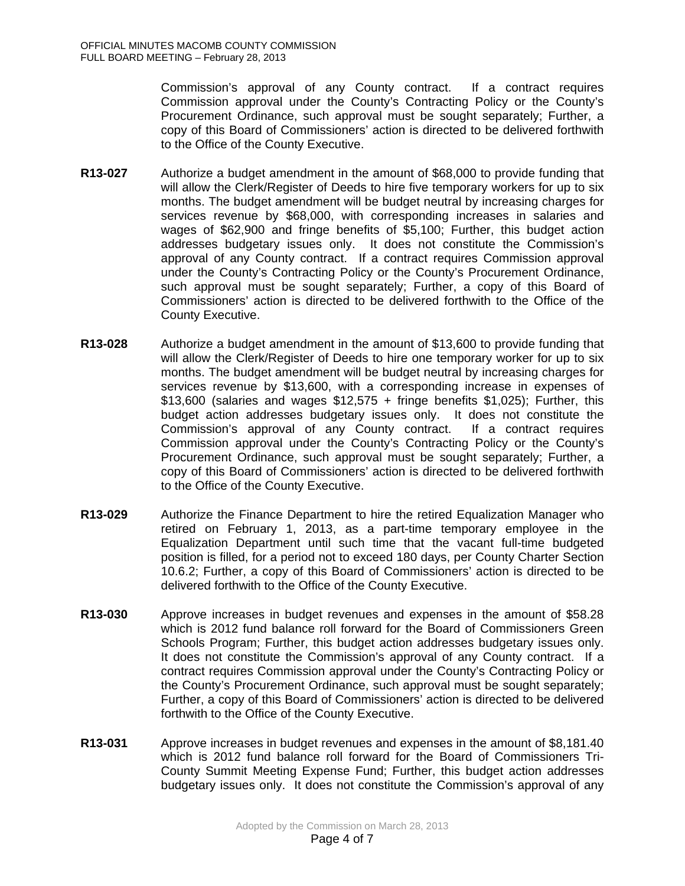Commission's approval of any County contract. If a contract requires Commission approval under the County's Contracting Policy or the County's Procurement Ordinance, such approval must be sought separately; Further, a copy of this Board of Commissioners' action is directed to be delivered forthwith to the Office of the County Executive.

- **R13-027** Authorize a budget amendment in the amount of \$68,000 to provide funding that will allow the Clerk/Register of Deeds to hire five temporary workers for up to six months. The budget amendment will be budget neutral by increasing charges for services revenue by \$68,000, with corresponding increases in salaries and wages of \$62,900 and fringe benefits of \$5,100; Further, this budget action addresses budgetary issues only. It does not constitute the Commission's approval of any County contract. If a contract requires Commission approval under the County's Contracting Policy or the County's Procurement Ordinance, such approval must be sought separately; Further, a copy of this Board of Commissioners' action is directed to be delivered forthwith to the Office of the County Executive.
- **R13-028** Authorize a budget amendment in the amount of \$13,600 to provide funding that will allow the Clerk/Register of Deeds to hire one temporary worker for up to six months. The budget amendment will be budget neutral by increasing charges for services revenue by \$13,600, with a corresponding increase in expenses of \$13,600 (salaries and wages  $$12,575 + fringe$  benefits \$1,025); Further, this budget action addresses budgetary issues only. It does not constitute the Commission's approval of any County contract. If a contract requires Commission approval under the County's Contracting Policy or the County's Procurement Ordinance, such approval must be sought separately; Further, a copy of this Board of Commissioners' action is directed to be delivered forthwith to the Office of the County Executive.
- **R13-029** Authorize the Finance Department to hire the retired Equalization Manager who retired on February 1, 2013, as a part-time temporary employee in the Equalization Department until such time that the vacant full-time budgeted position is filled, for a period not to exceed 180 days, per County Charter Section 10.6.2; Further, a copy of this Board of Commissioners' action is directed to be delivered forthwith to the Office of the County Executive.
- **R13-030** Approve increases in budget revenues and expenses in the amount of \$58.28 which is 2012 fund balance roll forward for the Board of Commissioners Green Schools Program; Further, this budget action addresses budgetary issues only. It does not constitute the Commission's approval of any County contract. If a contract requires Commission approval under the County's Contracting Policy or the County's Procurement Ordinance, such approval must be sought separately; Further, a copy of this Board of Commissioners' action is directed to be delivered forthwith to the Office of the County Executive.
- **R13-031** Approve increases in budget revenues and expenses in the amount of \$8,181.40 which is 2012 fund balance roll forward for the Board of Commissioners Tri-County Summit Meeting Expense Fund; Further, this budget action addresses budgetary issues only. It does not constitute the Commission's approval of any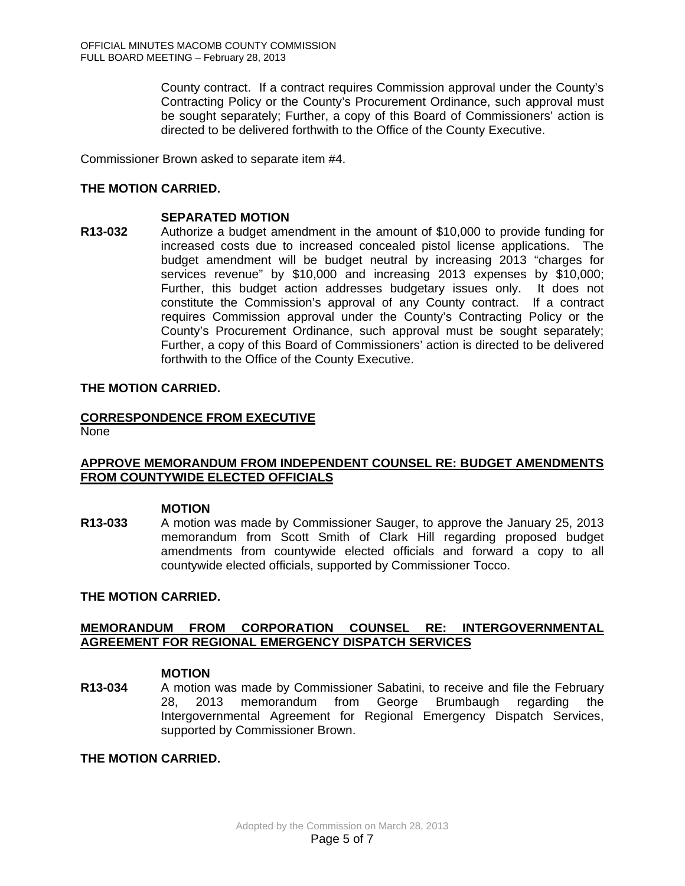County contract. If a contract requires Commission approval under the County's Contracting Policy or the County's Procurement Ordinance, such approval must be sought separately; Further, a copy of this Board of Commissioners' action is directed to be delivered forthwith to the Office of the County Executive.

Commissioner Brown asked to separate item #4.

## **THE MOTION CARRIED.**

#### **SEPARATED MOTION**

**R13-032** Authorize a budget amendment in the amount of \$10,000 to provide funding for increased costs due to increased concealed pistol license applications. The budget amendment will be budget neutral by increasing 2013 "charges for services revenue" by \$10,000 and increasing 2013 expenses by \$10,000; Further, this budget action addresses budgetary issues only. It does not constitute the Commission's approval of any County contract. If a contract requires Commission approval under the County's Contracting Policy or the County's Procurement Ordinance, such approval must be sought separately; Further, a copy of this Board of Commissioners' action is directed to be delivered forthwith to the Office of the County Executive.

### **THE MOTION CARRIED.**

# **CORRESPONDENCE FROM EXECUTIVE**

None

## **APPROVE MEMORANDUM FROM INDEPENDENT COUNSEL RE: BUDGET AMENDMENTS FROM COUNTYWIDE ELECTED OFFICIALS**

**MOTION**<br>**R13-033** A motion **R13-033** A motion was made by Commissioner Sauger, to approve the January 25, 2013 memorandum from Scott Smith of Clark Hill regarding proposed budget amendments from countywide elected officials and forward a copy to all countywide elected officials, supported by Commissioner Tocco.

#### **THE MOTION CARRIED.**

## **MEMORANDUM FROM CORPORATION COUNSEL RE: INTERGOVERNMENTAL AGREEMENT FOR REGIONAL EMERGENCY DISPATCH SERVICES**

#### **MOTION**

**R13-034** A motion was made by Commissioner Sabatini, to receive and file the February 28, 2013 memorandum from George Brumbaugh regarding the Intergovernmental Agreement for Regional Emergency Dispatch Services, supported by Commissioner Brown.

**THE MOTION CARRIED.**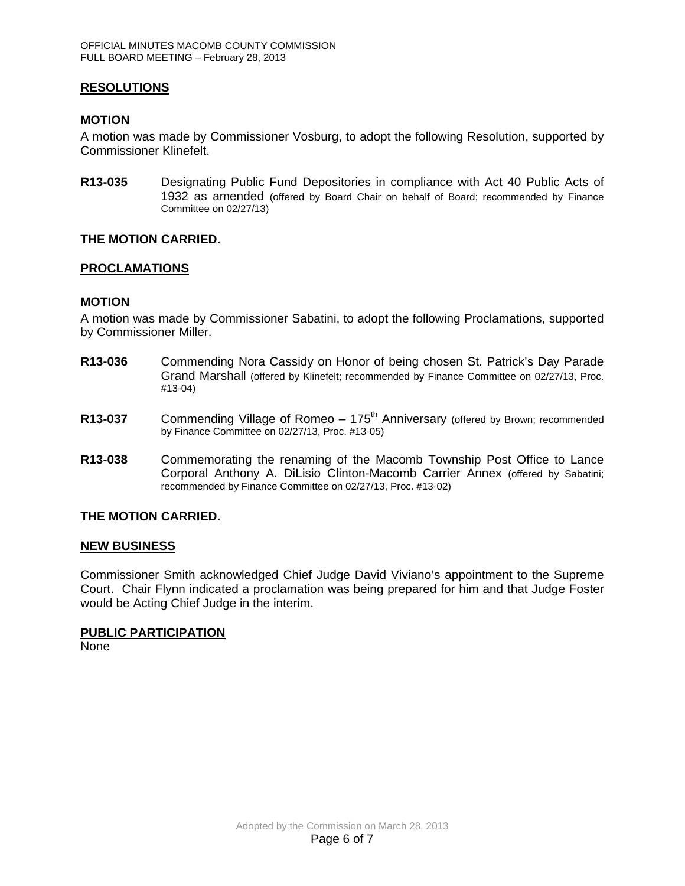## **RESOLUTIONS**

#### **MOTION**

A motion was made by Commissioner Vosburg, to adopt the following Resolution, supported by Commissioner Klinefelt.

**R13-035** Designating Public Fund Depositories in compliance with Act 40 Public Acts of 1932 as amended (offered by Board Chair on behalf of Board; recommended by Finance Committee on 02/27/13)

#### **THE MOTION CARRIED.**

#### **PROCLAMATIONS**

#### **MOTION**

A motion was made by Commissioner Sabatini, to adopt the following Proclamations, supported by Commissioner Miller.

- **R13-036** Commending Nora Cassidy on Honor of being chosen St. Patrick's Day Parade Grand Marshall (offered by Klinefelt; recommended by Finance Committee on 02/27/13, Proc. #13-04)
- **R13-037** Commending Village of Romeo 175<sup>th</sup> Anniversary (offered by Brown; recommended by Finance Committee on 02/27/13, Proc. #13-05)
- **R13-038** Commemorating the renaming of the Macomb Township Post Office to Lance Corporal Anthony A. DiLisio Clinton-Macomb Carrier Annex (offered by Sabatini; recommended by Finance Committee on 02/27/13, Proc. #13-02)

#### **THE MOTION CARRIED.**

#### **NEW BUSINESS**

Commissioner Smith acknowledged Chief Judge David Viviano's appointment to the Supreme Court. Chair Flynn indicated a proclamation was being prepared for him and that Judge Foster would be Acting Chief Judge in the interim.

#### **PUBLIC PARTICIPATION**

None